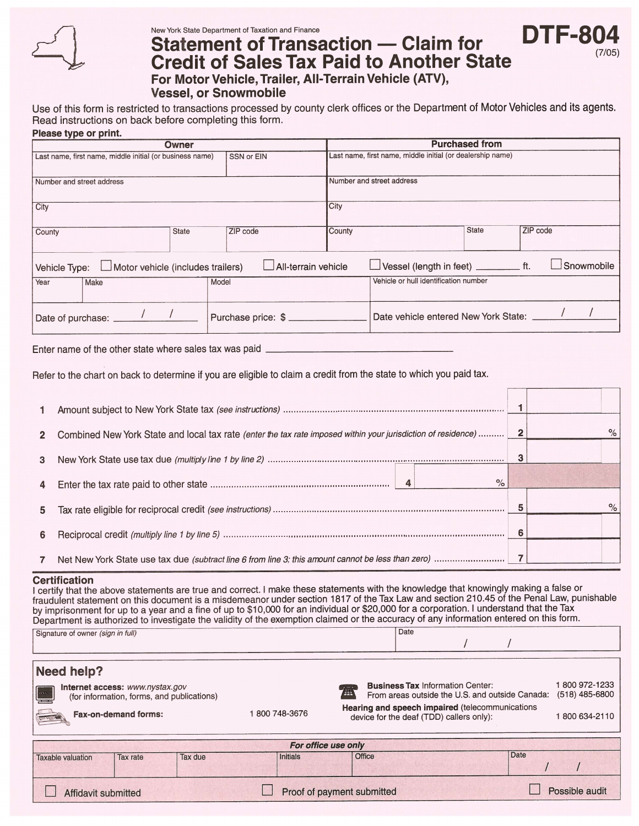

New York State Department of Taxation and Finance

# **Statement of Transaction — Claim for** Statement of Transaction — Claim for **DTF-804**<br>Credit of Sales Tax Paid to Another State For Motor Vehicle, Trailer, All-Terrain Vehicle (ATV),

(7/05)

Vessel, or Snowmobile

Use of this form is restricted to transactions processed by county clerk offices or the Department of Motor Vehicles and its agents. Read instructions on back before completing this form. Please type or print.

| Owner                                                                  |                                          |  |                                    | <b>Purchased from</b>                                      |                                           |  |  |  |                   |
|------------------------------------------------------------------------|------------------------------------------|--|------------------------------------|------------------------------------------------------------|-------------------------------------------|--|--|--|-------------------|
| SSN or EIN<br>Last name, first name, middle initial (or business name) |                                          |  |                                    | Last name, first name, middle initial (or dealership name) |                                           |  |  |  |                   |
| Number and street address                                              |                                          |  |                                    |                                                            | Number and street address                 |  |  |  |                   |
| City                                                                   |                                          |  |                                    | City                                                       |                                           |  |  |  |                   |
| County<br>ZIP code<br><b>State</b>                                     |                                          |  | ZIP code<br><b>State</b><br>County |                                                            |                                           |  |  |  |                   |
| Vehicle Type:                                                          | $\Box$ Motor vehicle (includes trailers) |  | $\Box$ All-terrain vehicle         |                                                            | Vessel (length in feet) _____________ ft. |  |  |  | $\Box$ Snowmobile |
| Year                                                                   | Make                                     |  | Model                              |                                                            | Vehicle or hull identification number     |  |  |  |                   |
|                                                                        | Date of purchase: _____                  |  | Purchase price: \$                 |                                                            | Date vehicle entered New York State:      |  |  |  |                   |

### Enter name of the other state where sales tax was paid

Refer to the chart on back to determine if you are eligible to claim a credit from the state to which you paid tax.

| 1              |                                                                                                               |  |
|----------------|---------------------------------------------------------------------------------------------------------------|--|
| $\mathbf{2}$   | Combined New York State and local tax rate (enter the tax rate imposed within your jurisdiction of residence) |  |
| $\mathbf{3}$   |                                                                                                               |  |
| 4              |                                                                                                               |  |
| 5 <sup>1</sup> |                                                                                                               |  |
| 6              |                                                                                                               |  |
| 7              |                                                                                                               |  |

### **Certification**

I certify that the above statements are true and correct. I make these statements with the knowledge that knowingly making a false or fraudulent statement on this document is a misdemeanor under section 1817 of the Tax Law and section 210.45 of the Penal Law, punishable by imprisonment for up to a year and a fine of up to \$10,000 for an individual or \$20,000 for a corporation. <sup>I</sup> understand that the Tax Department is authorized to investigate the validity of the exemption claimed or the accuracy of any information entered on this form. Signature of owner (sign in full) Date  $\sqrt{ }$ I

| Need help? |
|------------|
|------------|

| $\lceil m \rceil$                                                                                                                          | Internet access: www.nystax.gov<br>(for information, forms, and publications) |  |  |  | <b>Business Tax Information Center:</b><br>④<br>From areas outside the U.S. and outside Canada: | 800 972-1233<br>(518) 485-6800 |                |  |
|--------------------------------------------------------------------------------------------------------------------------------------------|-------------------------------------------------------------------------------|--|--|--|-------------------------------------------------------------------------------------------------|--------------------------------|----------------|--|
| Hearing and speech impaired (telecommunications<br>800 748-3676<br><b>Fax-on-demand forms:</b><br>device for the deaf (TDD) callers only): |                                                                               |  |  |  |                                                                                                 |                                | 800 634-2110   |  |
| For office use only                                                                                                                        |                                                                               |  |  |  |                                                                                                 |                                |                |  |
| Date<br>Office<br>Initials<br>Tax due<br><b>Taxable valuation</b><br>Tax rate                                                              |                                                                               |  |  |  |                                                                                                 |                                |                |  |
| Proof of payment submitted<br>Affidavit submitted                                                                                          |                                                                               |  |  |  |                                                                                                 |                                | Possible audit |  |